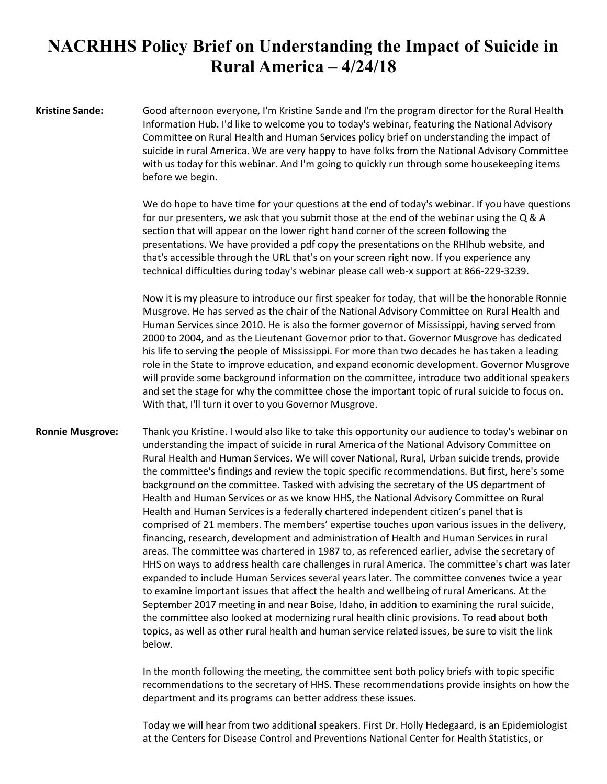## **NACRHHS Policy Brief on Understanding the Impact of Suicide in Rural America – 4/24/18**

**Kristine Sande:** Good afternoon everyone, I'm Kristine Sande and I'm the program director for the Rural Health Information Hub. I'd like to welcome you to today's webinar, featuring the National Advisory Committee on Rural Health and Human Services policy brief on understanding the impact of suicide in rural America. We are very happy to have folks from the National Advisory Committee with us today for this webinar. And I'm going to quickly run through some housekeeping items before we begin.

> We do hope to have time for your questions at the end of today's webinar. If you have questions for our presenters, we ask that you submit those at the end of the webinar using the Q & A section that will appear on the lower right hand corner of the screen following the presentations. We have provided a pdf copy the presentations on the RHIhub website, and that's accessible through the URL that's on your screen right now. If you experience any technical difficulties during today's webinar please call web-x support at 866-229-3239.

> Now it is my pleasure to introduce our first speaker for today, that will be the honorable Ronnie Musgrove. He has served as the chair of the National Advisory Committee on Rural Health and Human Services since 2010. He is also the former governor of Mississippi, having served from 2000 to 2004, and as the Lieutenant Governor prior to that. Governor Musgrove has dedicated his life to serving the people of Mississippi. For more than two decades he has taken a leading role in the State to improve education, and expand economic development. Governor Musgrove will provide some background information on the committee, introduce two additional speakers and set the stage for why the committee chose the important topic of rural suicide to focus on. With that, I'll turn it over to you Governor Musgrove.

**Ronnie Musgrove:** Thank you Kristine. I would also like to take this opportunity our audience to today's webinar on understanding the impact of suicide in rural America of the National Advisory Committee on Rural Health and Human Services. We will cover National, Rural, Urban suicide trends, provide the committee's findings and review the topic specific recommendations. But first, here's some background on the committee. Tasked with advising the secretary of the US department of Health and Human Services or as we know HHS, the National Advisory Committee on Rural Health and Human Services is a federally chartered independent citizen's panel that is comprised of 21 members. The members' expertise touches upon various issues in the delivery, financing, research, development and administration of Health and Human Services in rural areas. The committee was chartered in 1987 to, as referenced earlier, advise the secretary of HHS on ways to address health care challenges in rural America. The committee's chart was later expanded to include Human Services several years later. The committee convenes twice a year to examine important issues that affect the health and wellbeing of rural Americans. At the September 2017 meeting in and near Boise, Idaho, in addition to examining the rural suicide, the committee also looked at modernizing rural health clinic provisions. To read about both topics, as well as other rural health and human service related issues, be sure to visit the link below.

> In the month following the meeting, the committee sent both policy briefs with topic specific recommendations to the secretary of HHS. These recommendations provide insights on how the department and its programs can better address these issues.

> Today we will hear from two additional speakers. First Dr. Holly Hedegaard, is an Epidemiologist at the Centers for Disease Control and Preventions National Center for Health Statistics, or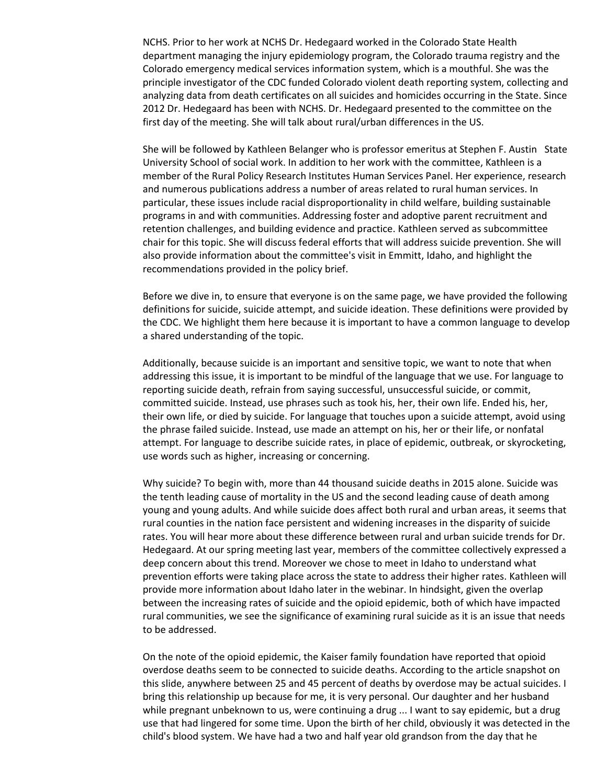NCHS. Prior to her work at NCHS Dr. Hedegaard worked in the Colorado State Health department managing the injury epidemiology program, the Colorado trauma registry and the Colorado emergency medical services information system, which is a mouthful. She was the principle investigator of the CDC funded Colorado violent death reporting system, collecting and analyzing data from death certificates on all suicides and homicides occurring in the State. Since 2012 Dr. Hedegaard has been with NCHS. Dr. Hedegaard presented to the committee on the first day of the meeting. She will talk about rural/urban differences in the US.

She will be followed by Kathleen Belanger who is professor emeritus at Stephen F. Austin State University School of social work. In addition to her work with the committee, Kathleen is a member of the Rural Policy Research Institutes Human Services Panel. Her experience, research and numerous publications address a number of areas related to rural human services. In particular, these issues include racial disproportionality in child welfare, building sustainable programs in and with communities. Addressing foster and adoptive parent recruitment and retention challenges, and building evidence and practice. Kathleen served as subcommittee chair for this topic. She will discuss federal efforts that will address suicide prevention. She will also provide information about the committee's visit in Emmitt, Idaho, and highlight the recommendations provided in the policy brief.

Before we dive in, to ensure that everyone is on the same page, we have provided the following definitions for suicide, suicide attempt, and suicide ideation. These definitions were provided by the CDC. We highlight them here because it is important to have a common language to develop a shared understanding of the topic.

Additionally, because suicide is an important and sensitive topic, we want to note that when addressing this issue, it is important to be mindful of the language that we use. For language to reporting suicide death, refrain from saying successful, unsuccessful suicide, or commit, committed suicide. Instead, use phrases such as took his, her, their own life. Ended his, her, their own life, or died by suicide. For language that touches upon a suicide attempt, avoid using the phrase failed suicide. Instead, use made an attempt on his, her or their life, or nonfatal attempt. For language to describe suicide rates, in place of epidemic, outbreak, or skyrocketing, use words such as higher, increasing or concerning.

Why suicide? To begin with, more than 44 thousand suicide deaths in 2015 alone. Suicide was the tenth leading cause of mortality in the US and the second leading cause of death among young and young adults. And while suicide does affect both rural and urban areas, it seems that rural counties in the nation face persistent and widening increases in the disparity of suicide rates. You will hear more about these difference between rural and urban suicide trends for Dr. Hedegaard. At our spring meeting last year, members of the committee collectively expressed a deep concern about this trend. Moreover we chose to meet in Idaho to understand what prevention efforts were taking place across the state to address their higher rates. Kathleen will provide more information about Idaho later in the webinar. In hindsight, given the overlap between the increasing rates of suicide and the opioid epidemic, both of which have impacted rural communities, we see the significance of examining rural suicide as it is an issue that needs to be addressed.

On the note of the opioid epidemic, the Kaiser family foundation have reported that opioid overdose deaths seem to be connected to suicide deaths. According to the article snapshot on this slide, anywhere between 25 and 45 percent of deaths by overdose may be actual suicides. I bring this relationship up because for me, it is very personal. Our daughter and her husband while pregnant unbeknown to us, were continuing a drug ... I want to say epidemic, but a drug use that had lingered for some time. Upon the birth of her child, obviously it was detected in the child's blood system. We have had a two and half year old grandson from the day that he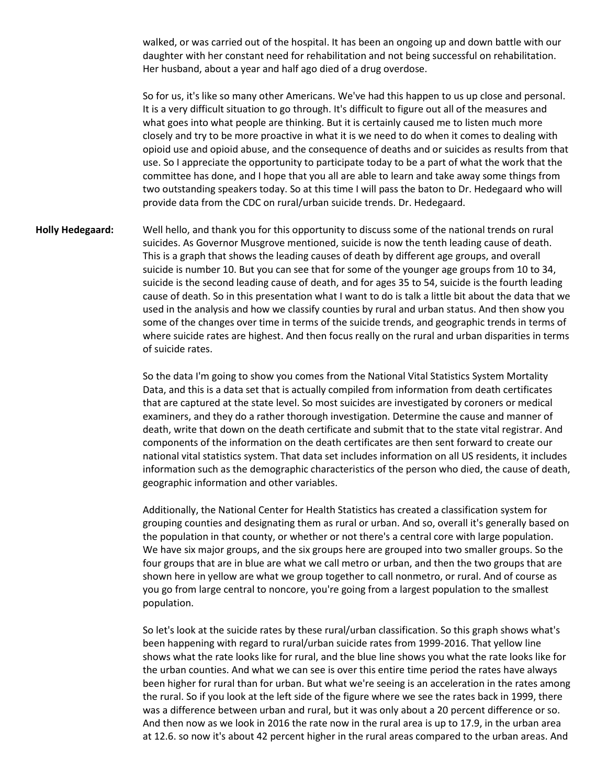walked, or was carried out of the hospital. It has been an ongoing up and down battle with our daughter with her constant need for rehabilitation and not being successful on rehabilitation. Her husband, about a year and half ago died of a drug overdose.

So for us, it's like so many other Americans. We've had this happen to us up close and personal. It is a very difficult situation to go through. It's difficult to figure out all of the measures and what goes into what people are thinking. But it is certainly caused me to listen much more closely and try to be more proactive in what it is we need to do when it comes to dealing with opioid use and opioid abuse, and the consequence of deaths and or suicides as results from that use. So I appreciate the opportunity to participate today to be a part of what the work that the committee has done, and I hope that you all are able to learn and take away some things from two outstanding speakers today. So at this time I will pass the baton to Dr. Hedegaard who will provide data from the CDC on rural/urban suicide trends. Dr. Hedegaard.

**Holly Hedegaard:** Well hello, and thank you for this opportunity to discuss some of the national trends on rural suicides. As Governor Musgrove mentioned, suicide is now the tenth leading cause of death. This is a graph that shows the leading causes of death by different age groups, and overall suicide is number 10. But you can see that for some of the younger age groups from 10 to 34, suicide is the second leading cause of death, and for ages 35 to 54, suicide is the fourth leading cause of death. So in this presentation what I want to do is talk a little bit about the data that we used in the analysis and how we classify counties by rural and urban status. And then show you some of the changes over time in terms of the suicide trends, and geographic trends in terms of where suicide rates are highest. And then focus really on the rural and urban disparities in terms of suicide rates.

> So the data I'm going to show you comes from the National Vital Statistics System Mortality Data, and this is a data set that is actually compiled from information from death certificates that are captured at the state level. So most suicides are investigated by coroners or medical examiners, and they do a rather thorough investigation. Determine the cause and manner of death, write that down on the death certificate and submit that to the state vital registrar. And components of the information on the death certificates are then sent forward to create our national vital statistics system. That data set includes information on all US residents, it includes information such as the demographic characteristics of the person who died, the cause of death, geographic information and other variables.

> Additionally, the National Center for Health Statistics has created a classification system for grouping counties and designating them as rural or urban. And so, overall it's generally based on the population in that county, or whether or not there's a central core with large population. We have six major groups, and the six groups here are grouped into two smaller groups. So the four groups that are in blue are what we call metro or urban, and then the two groups that are shown here in yellow are what we group together to call nonmetro, or rural. And of course as you go from large central to noncore, you're going from a largest population to the smallest population.

> So let's look at the suicide rates by these rural/urban classification. So this graph shows what's been happening with regard to rural/urban suicide rates from 1999-2016. That yellow line shows what the rate looks like for rural, and the blue line shows you what the rate looks like for the urban counties. And what we can see is over this entire time period the rates have always been higher for rural than for urban. But what we're seeing is an acceleration in the rates among the rural. So if you look at the left side of the figure where we see the rates back in 1999, there was a difference between urban and rural, but it was only about a 20 percent difference or so. And then now as we look in 2016 the rate now in the rural area is up to 17.9, in the urban area at 12.6. so now it's about 42 percent higher in the rural areas compared to the urban areas. And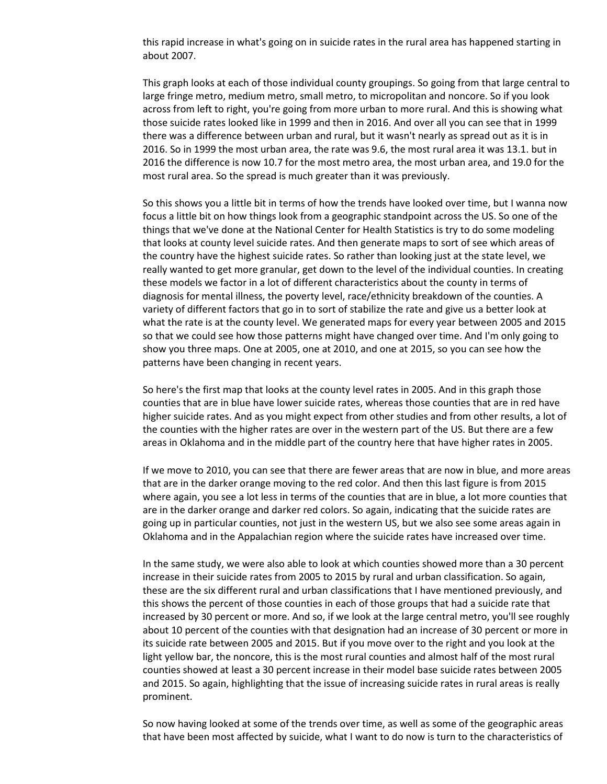this rapid increase in what's going on in suicide rates in the rural area has happened starting in about 2007.

This graph looks at each of those individual county groupings. So going from that large central to large fringe metro, medium metro, small metro, to micropolitan and noncore. So if you look across from left to right, you're going from more urban to more rural. And this is showing what those suicide rates looked like in 1999 and then in 2016. And over all you can see that in 1999 there was a difference between urban and rural, but it wasn't nearly as spread out as it is in 2016. So in 1999 the most urban area, the rate was 9.6, the most rural area it was 13.1. but in 2016 the difference is now 10.7 for the most metro area, the most urban area, and 19.0 for the most rural area. So the spread is much greater than it was previously.

So this shows you a little bit in terms of how the trends have looked over time, but I wanna now focus a little bit on how things look from a geographic standpoint across the US. So one of the things that we've done at the National Center for Health Statistics is try to do some modeling that looks at county level suicide rates. And then generate maps to sort of see which areas of the country have the highest suicide rates. So rather than looking just at the state level, we really wanted to get more granular, get down to the level of the individual counties. In creating these models we factor in a lot of different characteristics about the county in terms of diagnosis for mental illness, the poverty level, race/ethnicity breakdown of the counties. A variety of different factors that go in to sort of stabilize the rate and give us a better look at what the rate is at the county level. We generated maps for every year between 2005 and 2015 so that we could see how those patterns might have changed over time. And I'm only going to show you three maps. One at 2005, one at 2010, and one at 2015, so you can see how the patterns have been changing in recent years.

So here's the first map that looks at the county level rates in 2005. And in this graph those counties that are in blue have lower suicide rates, whereas those counties that are in red have higher suicide rates. And as you might expect from other studies and from other results, a lot of the counties with the higher rates are over in the western part of the US. But there are a few areas in Oklahoma and in the middle part of the country here that have higher rates in 2005.

If we move to 2010, you can see that there are fewer areas that are now in blue, and more areas that are in the darker orange moving to the red color. And then this last figure is from 2015 where again, you see a lot less in terms of the counties that are in blue, a lot more counties that are in the darker orange and darker red colors. So again, indicating that the suicide rates are going up in particular counties, not just in the western US, but we also see some areas again in Oklahoma and in the Appalachian region where the suicide rates have increased over time.

In the same study, we were also able to look at which counties showed more than a 30 percent increase in their suicide rates from 2005 to 2015 by rural and urban classification. So again, these are the six different rural and urban classifications that I have mentioned previously, and this shows the percent of those counties in each of those groups that had a suicide rate that increased by 30 percent or more. And so, if we look at the large central metro, you'll see roughly about 10 percent of the counties with that designation had an increase of 30 percent or more in its suicide rate between 2005 and 2015. But if you move over to the right and you look at the light yellow bar, the noncore, this is the most rural counties and almost half of the most rural counties showed at least a 30 percent increase in their model base suicide rates between 2005 and 2015. So again, highlighting that the issue of increasing suicide rates in rural areas is really prominent.

So now having looked at some of the trends over time, as well as some of the geographic areas that have been most affected by suicide, what I want to do now is turn to the characteristics of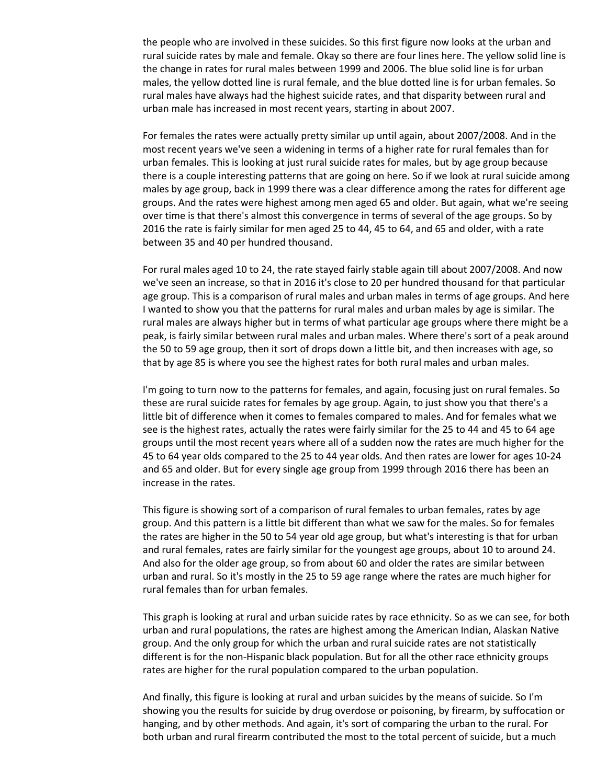the people who are involved in these suicides. So this first figure now looks at the urban and rural suicide rates by male and female. Okay so there are four lines here. The yellow solid line is the change in rates for rural males between 1999 and 2006. The blue solid line is for urban males, the yellow dotted line is rural female, and the blue dotted line is for urban females. So rural males have always had the highest suicide rates, and that disparity between rural and urban male has increased in most recent years, starting in about 2007.

For females the rates were actually pretty similar up until again, about 2007/2008. And in the most recent years we've seen a widening in terms of a higher rate for rural females than for urban females. This is looking at just rural suicide rates for males, but by age group because there is a couple interesting patterns that are going on here. So if we look at rural suicide among males by age group, back in 1999 there was a clear difference among the rates for different age groups. And the rates were highest among men aged 65 and older. But again, what we're seeing over time is that there's almost this convergence in terms of several of the age groups. So by 2016 the rate is fairly similar for men aged 25 to 44, 45 to 64, and 65 and older, with a rate between 35 and 40 per hundred thousand.

For rural males aged 10 to 24, the rate stayed fairly stable again till about 2007/2008. And now we've seen an increase, so that in 2016 it's close to 20 per hundred thousand for that particular age group. This is a comparison of rural males and urban males in terms of age groups. And here I wanted to show you that the patterns for rural males and urban males by age is similar. The rural males are always higher but in terms of what particular age groups where there might be a peak, is fairly similar between rural males and urban males. Where there's sort of a peak around the 50 to 59 age group, then it sort of drops down a little bit, and then increases with age, so that by age 85 is where you see the highest rates for both rural males and urban males.

I'm going to turn now to the patterns for females, and again, focusing just on rural females. So these are rural suicide rates for females by age group. Again, to just show you that there's a little bit of difference when it comes to females compared to males. And for females what we see is the highest rates, actually the rates were fairly similar for the 25 to 44 and 45 to 64 age groups until the most recent years where all of a sudden now the rates are much higher for the 45 to 64 year olds compared to the 25 to 44 year olds. And then rates are lower for ages 10-24 and 65 and older. But for every single age group from 1999 through 2016 there has been an increase in the rates.

This figure is showing sort of a comparison of rural females to urban females, rates by age group. And this pattern is a little bit different than what we saw for the males. So for females the rates are higher in the 50 to 54 year old age group, but what's interesting is that for urban and rural females, rates are fairly similar for the youngest age groups, about 10 to around 24. And also for the older age group, so from about 60 and older the rates are similar between urban and rural. So it's mostly in the 25 to 59 age range where the rates are much higher for rural females than for urban females.

This graph is looking at rural and urban suicide rates by race ethnicity. So as we can see, for both urban and rural populations, the rates are highest among the American Indian, Alaskan Native group. And the only group for which the urban and rural suicide rates are not statistically different is for the non-Hispanic black population. But for all the other race ethnicity groups rates are higher for the rural population compared to the urban population.

And finally, this figure is looking at rural and urban suicides by the means of suicide. So I'm showing you the results for suicide by drug overdose or poisoning, by firearm, by suffocation or hanging, and by other methods. And again, it's sort of comparing the urban to the rural. For both urban and rural firearm contributed the most to the total percent of suicide, but a much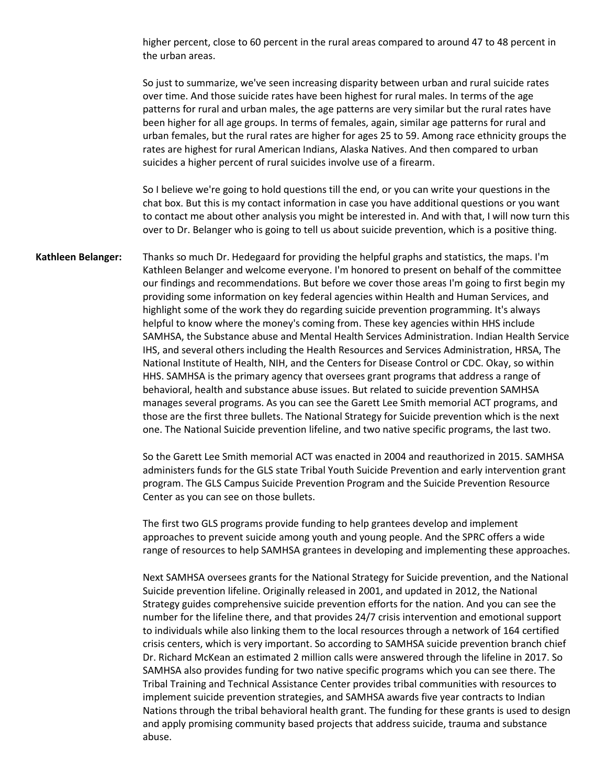higher percent, close to 60 percent in the rural areas compared to around 47 to 48 percent in the urban areas.

So just to summarize, we've seen increasing disparity between urban and rural suicide rates over time. And those suicide rates have been highest for rural males. In terms of the age patterns for rural and urban males, the age patterns are very similar but the rural rates have been higher for all age groups. In terms of females, again, similar age patterns for rural and urban females, but the rural rates are higher for ages 25 to 59. Among race ethnicity groups the rates are highest for rural American Indians, Alaska Natives. And then compared to urban suicides a higher percent of rural suicides involve use of a firearm.

So I believe we're going to hold questions till the end, or you can write your questions in the chat box. But this is my contact information in case you have additional questions or you want to contact me about other analysis you might be interested in. And with that, I will now turn this over to Dr. Belanger who is going to tell us about suicide prevention, which is a positive thing.

**Kathleen Belanger:** Thanks so much Dr. Hedegaard for providing the helpful graphs and statistics, the maps. I'm Kathleen Belanger and welcome everyone. I'm honored to present on behalf of the committee our findings and recommendations. But before we cover those areas I'm going to first begin my providing some information on key federal agencies within Health and Human Services, and highlight some of the work they do regarding suicide prevention programming. It's always helpful to know where the money's coming from. These key agencies within HHS include SAMHSA, the Substance abuse and Mental Health Services Administration. Indian Health Service IHS, and several others including the Health Resources and Services Administration, HRSA, The National Institute of Health, NIH, and the Centers for Disease Control or CDC. Okay, so within HHS. SAMHSA is the primary agency that oversees grant programs that address a range of behavioral, health and substance abuse issues. But related to suicide prevention SAMHSA manages several programs. As you can see the Garett Lee Smith memorial ACT programs, and those are the first three bullets. The National Strategy for Suicide prevention which is the next one. The National Suicide prevention lifeline, and two native specific programs, the last two.

> So the Garett Lee Smith memorial ACT was enacted in 2004 and reauthorized in 2015. SAMHSA administers funds for the GLS state Tribal Youth Suicide Prevention and early intervention grant program. The GLS Campus Suicide Prevention Program and the Suicide Prevention Resource Center as you can see on those bullets.

> The first two GLS programs provide funding to help grantees develop and implement approaches to prevent suicide among youth and young people. And the SPRC offers a wide range of resources to help SAMHSA grantees in developing and implementing these approaches.

> Next SAMHSA oversees grants for the National Strategy for Suicide prevention, and the National Suicide prevention lifeline. Originally released in 2001, and updated in 2012, the National Strategy guides comprehensive suicide prevention efforts for the nation. And you can see the number for the lifeline there, and that provides 24/7 crisis intervention and emotional support to individuals while also linking them to the local resources through a network of 164 certified crisis centers, which is very important. So according to SAMHSA suicide prevention branch chief Dr. Richard McKean an estimated 2 million calls were answered through the lifeline in 2017. So SAMHSA also provides funding for two native specific programs which you can see there. The Tribal Training and Technical Assistance Center provides tribal communities with resources to implement suicide prevention strategies, and SAMHSA awards five year contracts to Indian Nations through the tribal behavioral health grant. The funding for these grants is used to design and apply promising community based projects that address suicide, trauma and substance abuse.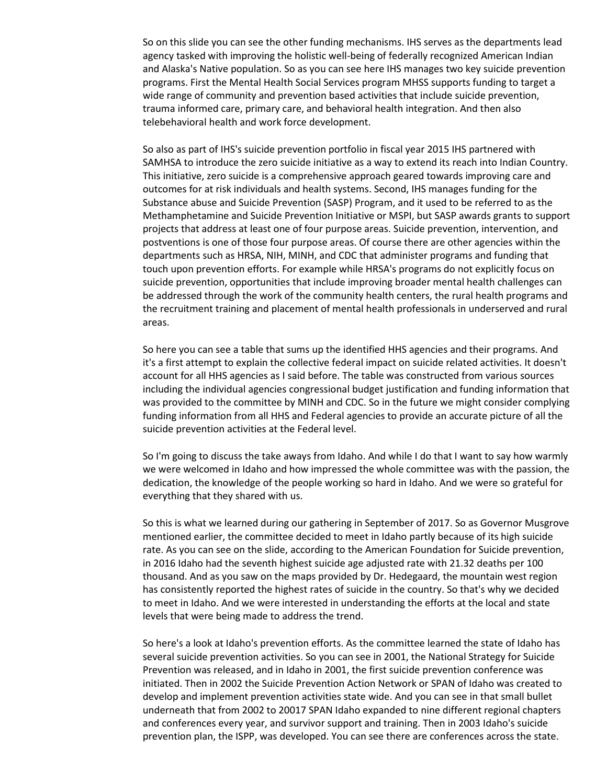So on this slide you can see the other funding mechanisms. IHS serves as the departments lead agency tasked with improving the holistic well-being of federally recognized American Indian and Alaska's Native population. So as you can see here IHS manages two key suicide prevention programs. First the Mental Health Social Services program MHSS supports funding to target a wide range of community and prevention based activities that include suicide prevention, trauma informed care, primary care, and behavioral health integration. And then also telebehavioral health and work force development.

So also as part of IHS's suicide prevention portfolio in fiscal year 2015 IHS partnered with SAMHSA to introduce the zero suicide initiative as a way to extend its reach into Indian Country. This initiative, zero suicide is a comprehensive approach geared towards improving care and outcomes for at risk individuals and health systems. Second, IHS manages funding for the Substance abuse and Suicide Prevention (SASP) Program, and it used to be referred to as the Methamphetamine and Suicide Prevention Initiative or MSPI, but SASP awards grants to support projects that address at least one of four purpose areas. Suicide prevention, intervention, and postventions is one of those four purpose areas. Of course there are other agencies within the departments such as HRSA, NIH, MINH, and CDC that administer programs and funding that touch upon prevention efforts. For example while HRSA's programs do not explicitly focus on suicide prevention, opportunities that include improving broader mental health challenges can be addressed through the work of the community health centers, the rural health programs and the recruitment training and placement of mental health professionals in underserved and rural areas.

So here you can see a table that sums up the identified HHS agencies and their programs. And it's a first attempt to explain the collective federal impact on suicide related activities. It doesn't account for all HHS agencies as I said before. The table was constructed from various sources including the individual agencies congressional budget justification and funding information that was provided to the committee by MINH and CDC. So in the future we might consider complying funding information from all HHS and Federal agencies to provide an accurate picture of all the suicide prevention activities at the Federal level.

So I'm going to discuss the take aways from Idaho. And while I do that I want to say how warmly we were welcomed in Idaho and how impressed the whole committee was with the passion, the dedication, the knowledge of the people working so hard in Idaho. And we were so grateful for everything that they shared with us.

So this is what we learned during our gathering in September of 2017. So as Governor Musgrove mentioned earlier, the committee decided to meet in Idaho partly because of its high suicide rate. As you can see on the slide, according to the American Foundation for Suicide prevention, in 2016 Idaho had the seventh highest suicide age adjusted rate with 21.32 deaths per 100 thousand. And as you saw on the maps provided by Dr. Hedegaard, the mountain west region has consistently reported the highest rates of suicide in the country. So that's why we decided to meet in Idaho. And we were interested in understanding the efforts at the local and state levels that were being made to address the trend.

So here's a look at Idaho's prevention efforts. As the committee learned the state of Idaho has several suicide prevention activities. So you can see in 2001, the National Strategy for Suicide Prevention was released, and in Idaho in 2001, the first suicide prevention conference was initiated. Then in 2002 the Suicide Prevention Action Network or SPAN of Idaho was created to develop and implement prevention activities state wide. And you can see in that small bullet underneath that from 2002 to 20017 SPAN Idaho expanded to nine different regional chapters and conferences every year, and survivor support and training. Then in 2003 Idaho's suicide prevention plan, the ISPP, was developed. You can see there are conferences across the state.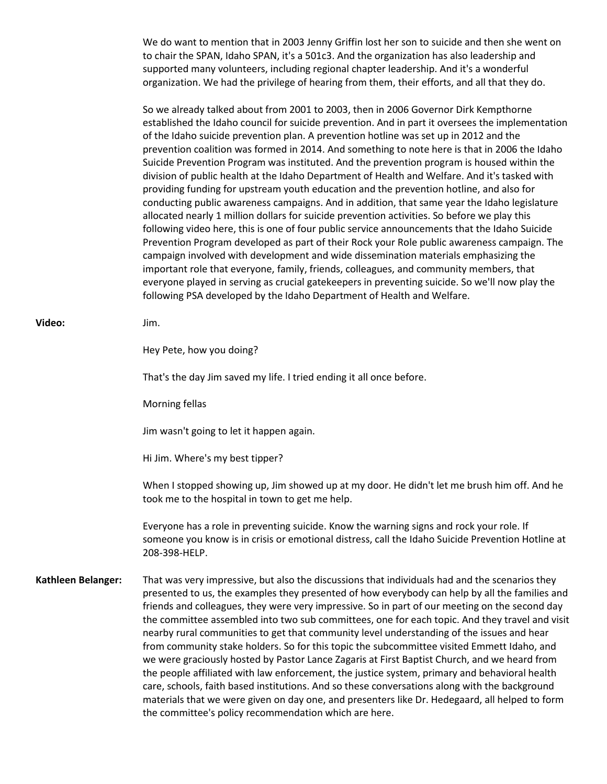We do want to mention that in 2003 Jenny Griffin lost her son to suicide and then she went on to chair the SPAN, Idaho SPAN, it's a 501c3. And the organization has also leadership and supported many volunteers, including regional chapter leadership. And it's a wonderful organization. We had the privilege of hearing from them, their efforts, and all that they do.

So we already talked about from 2001 to 2003, then in 2006 Governor Dirk Kempthorne established the Idaho council for suicide prevention. And in part it oversees the implementation of the Idaho suicide prevention plan. A prevention hotline was set up in 2012 and the prevention coalition was formed in 2014. And something to note here is that in 2006 the Idaho Suicide Prevention Program was instituted. And the prevention program is housed within the division of public health at the Idaho Department of Health and Welfare. And it's tasked with providing funding for upstream youth education and the prevention hotline, and also for conducting public awareness campaigns. And in addition, that same year the Idaho legislature allocated nearly 1 million dollars for suicide prevention activities. So before we play this following video here, this is one of four public service announcements that the Idaho Suicide Prevention Program developed as part of their Rock your Role public awareness campaign. The campaign involved with development and wide dissemination materials emphasizing the important role that everyone, family, friends, colleagues, and community members, that everyone played in serving as crucial gatekeepers in preventing suicide. So we'll now play the following PSA developed by the Idaho Department of Health and Welfare.

| Video:             | Jim.                                                                                                                                                                                                                                                                                                                                                                                                                                                                                                                                                                                                                                                                                                                                                                                                                                                                                                                                                                                                |
|--------------------|-----------------------------------------------------------------------------------------------------------------------------------------------------------------------------------------------------------------------------------------------------------------------------------------------------------------------------------------------------------------------------------------------------------------------------------------------------------------------------------------------------------------------------------------------------------------------------------------------------------------------------------------------------------------------------------------------------------------------------------------------------------------------------------------------------------------------------------------------------------------------------------------------------------------------------------------------------------------------------------------------------|
|                    | Hey Pete, how you doing?                                                                                                                                                                                                                                                                                                                                                                                                                                                                                                                                                                                                                                                                                                                                                                                                                                                                                                                                                                            |
|                    | That's the day Jim saved my life. I tried ending it all once before.                                                                                                                                                                                                                                                                                                                                                                                                                                                                                                                                                                                                                                                                                                                                                                                                                                                                                                                                |
|                    | Morning fellas                                                                                                                                                                                                                                                                                                                                                                                                                                                                                                                                                                                                                                                                                                                                                                                                                                                                                                                                                                                      |
|                    | Jim wasn't going to let it happen again.                                                                                                                                                                                                                                                                                                                                                                                                                                                                                                                                                                                                                                                                                                                                                                                                                                                                                                                                                            |
|                    | Hi Jim. Where's my best tipper?                                                                                                                                                                                                                                                                                                                                                                                                                                                                                                                                                                                                                                                                                                                                                                                                                                                                                                                                                                     |
|                    | When I stopped showing up, Jim showed up at my door. He didn't let me brush him off. And he<br>took me to the hospital in town to get me help.                                                                                                                                                                                                                                                                                                                                                                                                                                                                                                                                                                                                                                                                                                                                                                                                                                                      |
|                    | Everyone has a role in preventing suicide. Know the warning signs and rock your role. If<br>someone you know is in crisis or emotional distress, call the Idaho Suicide Prevention Hotline at<br>208-398-HELP.                                                                                                                                                                                                                                                                                                                                                                                                                                                                                                                                                                                                                                                                                                                                                                                      |
| Kathleen Belanger: | That was very impressive, but also the discussions that individuals had and the scenarios they<br>presented to us, the examples they presented of how everybody can help by all the families and<br>friends and colleagues, they were very impressive. So in part of our meeting on the second day<br>the committee assembled into two sub committees, one for each topic. And they travel and visit<br>nearby rural communities to get that community level understanding of the issues and hear<br>from community stake holders. So for this topic the subcommittee visited Emmett Idaho, and<br>we were graciously hosted by Pastor Lance Zagaris at First Baptist Church, and we heard from<br>the people affiliated with law enforcement, the justice system, primary and behavioral health<br>care, schools, faith based institutions. And so these conversations along with the background<br>materials that we were given on day one, and presenters like Dr. Hedegaard, all helped to form |

the committee's policy recommendation which are here.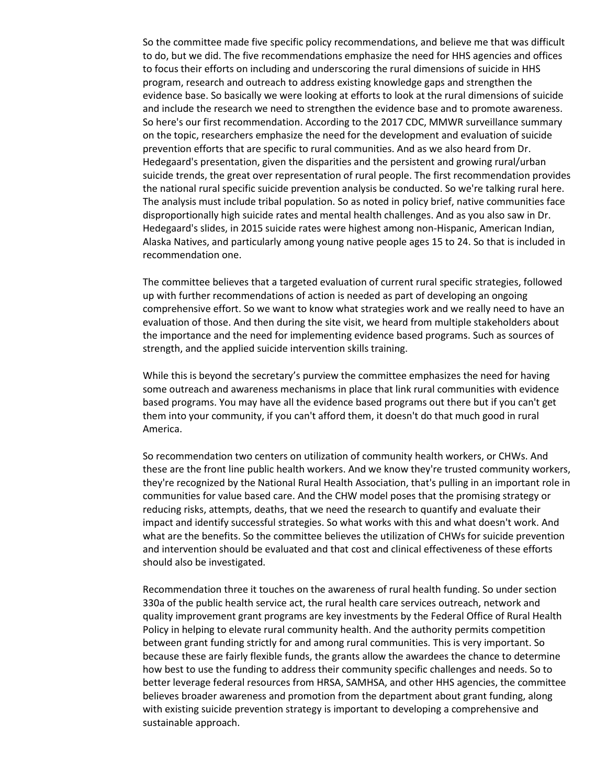So the committee made five specific policy recommendations, and believe me that was difficult to do, but we did. The five recommendations emphasize the need for HHS agencies and offices to focus their efforts on including and underscoring the rural dimensions of suicide in HHS program, research and outreach to address existing knowledge gaps and strengthen the evidence base. So basically we were looking at efforts to look at the rural dimensions of suicide and include the research we need to strengthen the evidence base and to promote awareness. So here's our first recommendation. According to the 2017 CDC, MMWR surveillance summary on the topic, researchers emphasize the need for the development and evaluation of suicide prevention efforts that are specific to rural communities. And as we also heard from Dr. Hedegaard's presentation, given the disparities and the persistent and growing rural/urban suicide trends, the great over representation of rural people. The first recommendation provides the national rural specific suicide prevention analysis be conducted. So we're talking rural here. The analysis must include tribal population. So as noted in policy brief, native communities face disproportionally high suicide rates and mental health challenges. And as you also saw in Dr. Hedegaard's slides, in 2015 suicide rates were highest among non-Hispanic, American Indian, Alaska Natives, and particularly among young native people ages 15 to 24. So that is included in recommendation one.

The committee believes that a targeted evaluation of current rural specific strategies, followed up with further recommendations of action is needed as part of developing an ongoing comprehensive effort. So we want to know what strategies work and we really need to have an evaluation of those. And then during the site visit, we heard from multiple stakeholders about the importance and the need for implementing evidence based programs. Such as sources of strength, and the applied suicide intervention skills training.

While this is beyond the secretary's purview the committee emphasizes the need for having some outreach and awareness mechanisms in place that link rural communities with evidence based programs. You may have all the evidence based programs out there but if you can't get them into your community, if you can't afford them, it doesn't do that much good in rural America.

So recommendation two centers on utilization of community health workers, or CHWs. And these are the front line public health workers. And we know they're trusted community workers, they're recognized by the National Rural Health Association, that's pulling in an important role in communities for value based care. And the CHW model poses that the promising strategy or reducing risks, attempts, deaths, that we need the research to quantify and evaluate their impact and identify successful strategies. So what works with this and what doesn't work. And what are the benefits. So the committee believes the utilization of CHWs for suicide prevention and intervention should be evaluated and that cost and clinical effectiveness of these efforts should also be investigated.

Recommendation three it touches on the awareness of rural health funding. So under section 330a of the public health service act, the rural health care services outreach, network and quality improvement grant programs are key investments by the Federal Office of Rural Health Policy in helping to elevate rural community health. And the authority permits competition between grant funding strictly for and among rural communities. This is very important. So because these are fairly flexible funds, the grants allow the awardees the chance to determine how best to use the funding to address their community specific challenges and needs. So to better leverage federal resources from HRSA, SAMHSA, and other HHS agencies, the committee believes broader awareness and promotion from the department about grant funding, along with existing suicide prevention strategy is important to developing a comprehensive and sustainable approach.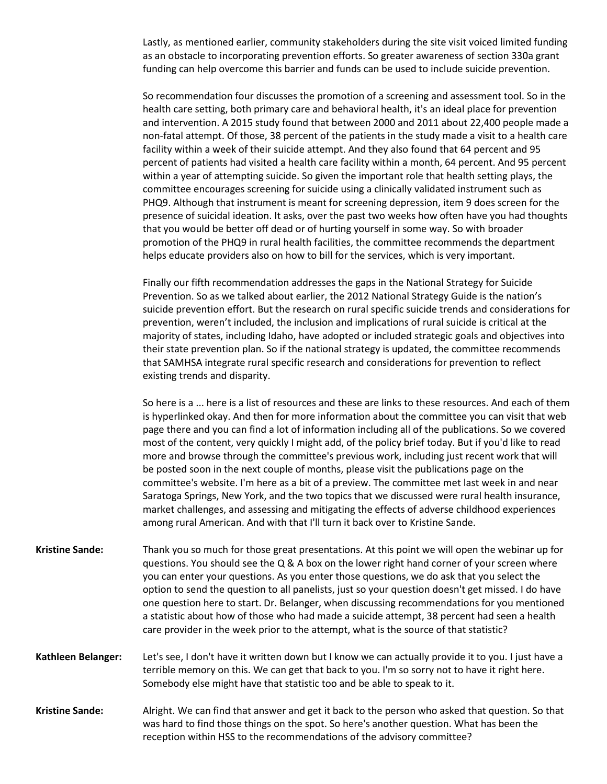Lastly, as mentioned earlier, community stakeholders during the site visit voiced limited funding as an obstacle to incorporating prevention efforts. So greater awareness of section 330a grant funding can help overcome this barrier and funds can be used to include suicide prevention.

So recommendation four discusses the promotion of a screening and assessment tool. So in the health care setting, both primary care and behavioral health, it's an ideal place for prevention and intervention. A 2015 study found that between 2000 and 2011 about 22,400 people made a non-fatal attempt. Of those, 38 percent of the patients in the study made a visit to a health care facility within a week of their suicide attempt. And they also found that 64 percent and 95 percent of patients had visited a health care facility within a month, 64 percent. And 95 percent within a year of attempting suicide. So given the important role that health setting plays, the committee encourages screening for suicide using a clinically validated instrument such as PHQ9. Although that instrument is meant for screening depression, item 9 does screen for the presence of suicidal ideation. It asks, over the past two weeks how often have you had thoughts that you would be better off dead or of hurting yourself in some way. So with broader promotion of the PHQ9 in rural health facilities, the committee recommends the department helps educate providers also on how to bill for the services, which is very important.

Finally our fifth recommendation addresses the gaps in the National Strategy for Suicide Prevention. So as we talked about earlier, the 2012 National Strategy Guide is the nation's suicide prevention effort. But the research on rural specific suicide trends and considerations for prevention, weren't included, the inclusion and implications of rural suicide is critical at the majority of states, including Idaho, have adopted or included strategic goals and objectives into their state prevention plan. So if the national strategy is updated, the committee recommends that SAMHSA integrate rural specific research and considerations for prevention to reflect existing trends and disparity.

So here is a ... here is a list of resources and these are links to these resources. And each of them is hyperlinked okay. And then for more information about the committee you can visit that web page there and you can find a lot of information including all of the publications. So we covered most of the content, very quickly I might add, of the policy brief today. But if you'd like to read more and browse through the committee's previous work, including just recent work that will be posted soon in the next couple of months, please visit the publications page on the committee's website. I'm here as a bit of a preview. The committee met last week in and near Saratoga Springs, New York, and the two topics that we discussed were rural health insurance, market challenges, and assessing and mitigating the effects of adverse childhood experiences among rural American. And with that I'll turn it back over to Kristine Sande.

- **Kristine Sande:** Thank you so much for those great presentations. At this point we will open the webinar up for questions. You should see the Q & A box on the lower right hand corner of your screen where you can enter your questions. As you enter those questions, we do ask that you select the option to send the question to all panelists, just so your question doesn't get missed. I do have one question here to start. Dr. Belanger, when discussing recommendations for you mentioned a statistic about how of those who had made a suicide attempt, 38 percent had seen a health care provider in the week prior to the attempt, what is the source of that statistic?
- **Kathleen Belanger:** Let's see, I don't have it written down but I know we can actually provide it to you. I just have a terrible memory on this. We can get that back to you. I'm so sorry not to have it right here. Somebody else might have that statistic too and be able to speak to it.
- **Kristine Sande:** Alright. We can find that answer and get it back to the person who asked that question. So that was hard to find those things on the spot. So here's another question. What has been the reception within HSS to the recommendations of the advisory committee?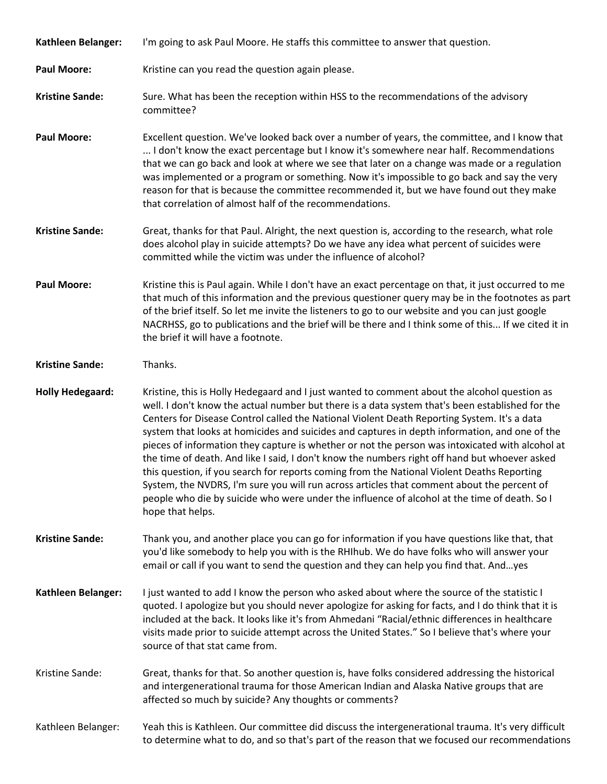| Kathleen Belanger:      | I'm going to ask Paul Moore. He staffs this committee to answer that question.                                                                                                                                                                                                                                                                                                                                                                                                                                                                                                                                                                                                                                                                                                                                                                                                                                      |
|-------------------------|---------------------------------------------------------------------------------------------------------------------------------------------------------------------------------------------------------------------------------------------------------------------------------------------------------------------------------------------------------------------------------------------------------------------------------------------------------------------------------------------------------------------------------------------------------------------------------------------------------------------------------------------------------------------------------------------------------------------------------------------------------------------------------------------------------------------------------------------------------------------------------------------------------------------|
| <b>Paul Moore:</b>      | Kristine can you read the question again please.                                                                                                                                                                                                                                                                                                                                                                                                                                                                                                                                                                                                                                                                                                                                                                                                                                                                    |
| <b>Kristine Sande:</b>  | Sure. What has been the reception within HSS to the recommendations of the advisory<br>committee?                                                                                                                                                                                                                                                                                                                                                                                                                                                                                                                                                                                                                                                                                                                                                                                                                   |
| <b>Paul Moore:</b>      | Excellent question. We've looked back over a number of years, the committee, and I know that<br>I don't know the exact percentage but I know it's somewhere near half. Recommendations<br>that we can go back and look at where we see that later on a change was made or a regulation<br>was implemented or a program or something. Now it's impossible to go back and say the very<br>reason for that is because the committee recommended it, but we have found out they make<br>that correlation of almost half of the recommendations.                                                                                                                                                                                                                                                                                                                                                                         |
| <b>Kristine Sande:</b>  | Great, thanks for that Paul. Alright, the next question is, according to the research, what role<br>does alcohol play in suicide attempts? Do we have any idea what percent of suicides were<br>committed while the victim was under the influence of alcohol?                                                                                                                                                                                                                                                                                                                                                                                                                                                                                                                                                                                                                                                      |
| <b>Paul Moore:</b>      | Kristine this is Paul again. While I don't have an exact percentage on that, it just occurred to me<br>that much of this information and the previous questioner query may be in the footnotes as part<br>of the brief itself. So let me invite the listeners to go to our website and you can just google<br>NACRHSS, go to publications and the brief will be there and I think some of this If we cited it in<br>the brief it will have a footnote.                                                                                                                                                                                                                                                                                                                                                                                                                                                              |
| <b>Kristine Sande:</b>  | Thanks.                                                                                                                                                                                                                                                                                                                                                                                                                                                                                                                                                                                                                                                                                                                                                                                                                                                                                                             |
| <b>Holly Hedegaard:</b> | Kristine, this is Holly Hedegaard and I just wanted to comment about the alcohol question as<br>well. I don't know the actual number but there is a data system that's been established for the<br>Centers for Disease Control called the National Violent Death Reporting System. It's a data<br>system that looks at homicides and suicides and captures in depth information, and one of the<br>pieces of information they capture is whether or not the person was intoxicated with alcohol at<br>the time of death. And like I said, I don't know the numbers right off hand but whoever asked<br>this question, if you search for reports coming from the National Violent Deaths Reporting<br>System, the NVDRS, I'm sure you will run across articles that comment about the percent of<br>people who die by suicide who were under the influence of alcohol at the time of death. So I<br>hope that helps. |
| <b>Kristine Sande:</b>  | Thank you, and another place you can go for information if you have questions like that, that<br>you'd like somebody to help you with is the RHIhub. We do have folks who will answer your<br>email or call if you want to send the question and they can help you find that. Andyes                                                                                                                                                                                                                                                                                                                                                                                                                                                                                                                                                                                                                                |
| Kathleen Belanger:      | I just wanted to add I know the person who asked about where the source of the statistic I<br>quoted. I apologize but you should never apologize for asking for facts, and I do think that it is<br>included at the back. It looks like it's from Ahmedani "Racial/ethnic differences in healthcare<br>visits made prior to suicide attempt across the United States." So I believe that's where your<br>source of that stat came from.                                                                                                                                                                                                                                                                                                                                                                                                                                                                             |
| Kristine Sande:         | Great, thanks for that. So another question is, have folks considered addressing the historical<br>and intergenerational trauma for those American Indian and Alaska Native groups that are<br>affected so much by suicide? Any thoughts or comments?                                                                                                                                                                                                                                                                                                                                                                                                                                                                                                                                                                                                                                                               |
| Kathleen Belanger:      | Yeah this is Kathleen. Our committee did discuss the intergenerational trauma. It's very difficult<br>to determine what to do, and so that's part of the reason that we focused our recommendations                                                                                                                                                                                                                                                                                                                                                                                                                                                                                                                                                                                                                                                                                                                 |